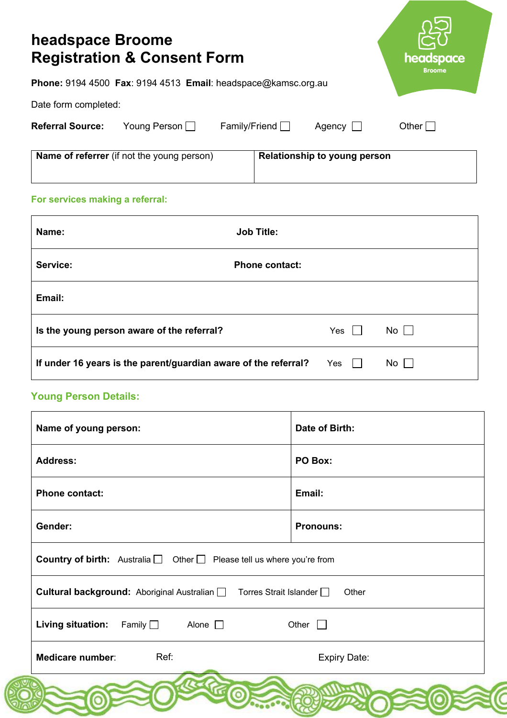| headspace Broome<br><b>Registration &amp; Consent Form</b>    | headspace<br><b>Broome</b>                             |
|---------------------------------------------------------------|--------------------------------------------------------|
| Phone: 9194 4500 Fax: 9194 4513 Email: headspace@kamsc.org.au |                                                        |
| Date form completed:                                          |                                                        |
| Young Person<br><b>Referral Source:</b>                       | Family/Friend $\Box$<br>Agency $\Box$<br>Other $\vert$ |
| <b>Name of referrer</b> (if not the young person)             | Relationship to young person                           |
| For services making a referral:                               |                                                        |

| Name:                                                           | <b>Job Title:</b>     |     |           |
|-----------------------------------------------------------------|-----------------------|-----|-----------|
| Service:                                                        | <b>Phone contact:</b> |     |           |
| Email:                                                          |                       |     |           |
| Is the young person aware of the referral?                      |                       | Yes | $No \Box$ |
| If under 16 years is the parent/guardian aware of the referral? |                       | Yes | $No$      |

# **Young Person Details:**

| Name of young person:                                                                   | Date of Birth:      |  |
|-----------------------------------------------------------------------------------------|---------------------|--|
| <b>Address:</b>                                                                         | PO Box:             |  |
| <b>Phone contact:</b>                                                                   | Email:              |  |
| Gender:                                                                                 | <b>Pronouns:</b>    |  |
| <b>Country of birth:</b> Australia $\Box$ Other $\Box$ Please tell us where you're from |                     |  |
| <b>Cultural background:</b> Aboriginal Australian □ Torres Strait Islander □<br>Other   |                     |  |
| <b>Living situation:</b><br>Family $\Box$ Alone $\Box$                                  | Other               |  |
| Ref:<br><b>Medicare number:</b>                                                         | <b>Expiry Date:</b> |  |
|                                                                                         |                     |  |

(C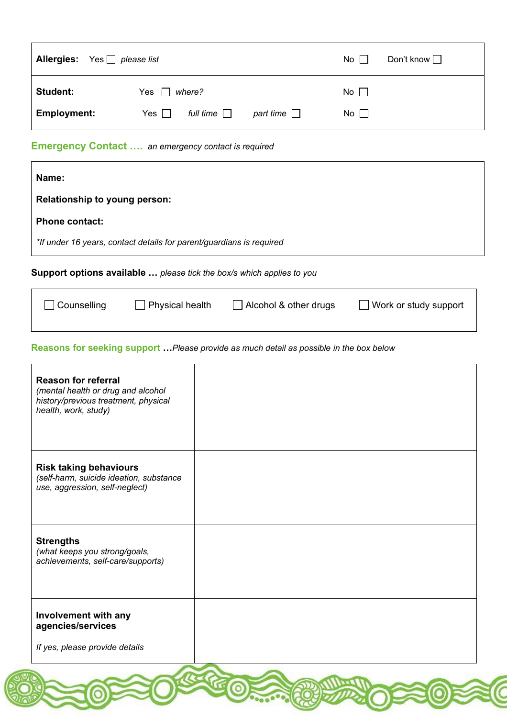| <b>Allergies:</b> Yes $\Box$ please list |                                | $No \ \Box$                      | Don't know $\Box$ |
|------------------------------------------|--------------------------------|----------------------------------|-------------------|
| <b>Student:</b>                          | Yes $\Box$ where?              | No $\Box$                        |                   |
| <b>Employment:</b>                       | full time $\Box$<br>Yes $\Box$ | No $\square$<br>part time $\Box$ |                   |

## **Emergency Contact ….** *an emergency contact is required*

| Name:                                                                        |                       |
|------------------------------------------------------------------------------|-----------------------|
| <b>Relationship to young person:</b>                                         |                       |
| <b>Phone contact:</b>                                                        |                       |
| *If under 16 years, contact details for parent/guardians is required         |                       |
| <b>Support options available </b> please tick the box/s which applies to you |                       |
| Alcohol & other drugs<br><b>Physical health</b><br>Counselling               | Work or study support |

#### **Reasons for seeking support …***Please provide as much detail as possible in the box below*

| <b>Reason for referral</b><br>(mental health or drug and alcohol<br>history/previous treatment, physical<br>health, work, study) |  |
|----------------------------------------------------------------------------------------------------------------------------------|--|
| <b>Risk taking behaviours</b><br>(self-harm, suicide ideation, substance<br>use, aggression, self-neglect)                       |  |
| <b>Strengths</b><br>(what keeps you strong/goals,<br>achievements, self-care/supports)                                           |  |
| Involvement with any<br>agencies/services<br>If yes, please provide details                                                      |  |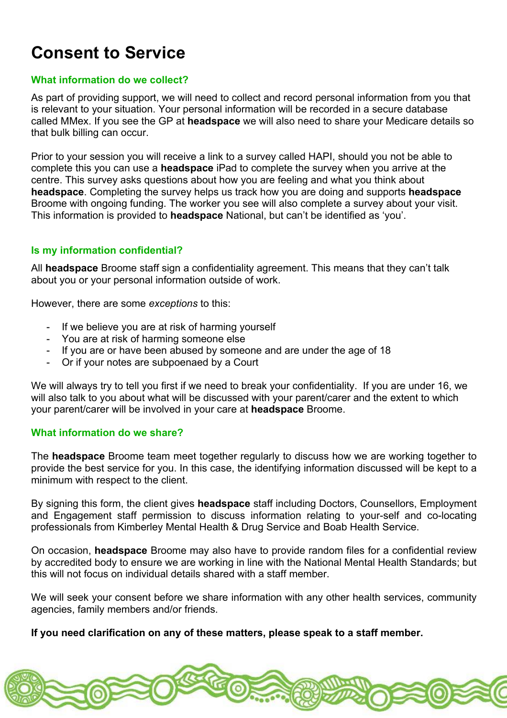# **Consent to Service**

### **What information do we collect?**

As part of providing support, we will need to collect and record personal information from you that is relevant to your situation. Your personal information will be recorded in a secure database called MMex. If you see the GP at **headspace** we will also need to share your Medicare details so that bulk billing can occur.

Prior to your session you will receive a link to a survey called HAPI, should you not be able to complete this you can use a **headspace** iPad to complete the survey when you arrive at the centre. This survey asks questions about how you are feeling and what you think about **headspace**. Completing the survey helps us track how you are doing and supports **headspace** Broome with ongoing funding. The worker you see will also complete a survey about your visit. This information is provided to **headspace** National, but can't be identified as 'you'.

### **Is my information confidential?**

All **headspace** Broome staff sign a confidentiality agreement. This means that they can't talk about you or your personal information outside of work.

However, there are some *exceptions* to this:

- If we believe you are at risk of harming yourself
- You are at risk of harming someone else
- If you are or have been abused by someone and are under the age of 18
- Or if your notes are subpoenaed by a Court

We will always try to tell you first if we need to break your confidentiality. If you are under 16, we will also talk to you about what will be discussed with your parent/carer and the extent to which your parent/carer will be involved in your care at **headspace** Broome.

#### **What information do we share?**

The **headspace** Broome team meet together regularly to discuss how we are working together to provide the best service for you. In this case, the identifying information discussed will be kept to a minimum with respect to the client.

By signing this form, the client gives **headspace** staff including Doctors, Counsellors, Employment and Engagement staff permission to discuss information relating to your-self and co-locating professionals from Kimberley Mental Health & Drug Service and Boab Health Service.

On occasion, **headspace** Broome may also have to provide random files for a confidential review by accredited body to ensure we are working in line with the National Mental Health Standards; but this will not focus on individual details shared with a staff member.

We will seek your consent before we share information with any other health services, community agencies, family members and/or friends.

**If you need clarification on any of these matters, please speak to a staff member.**